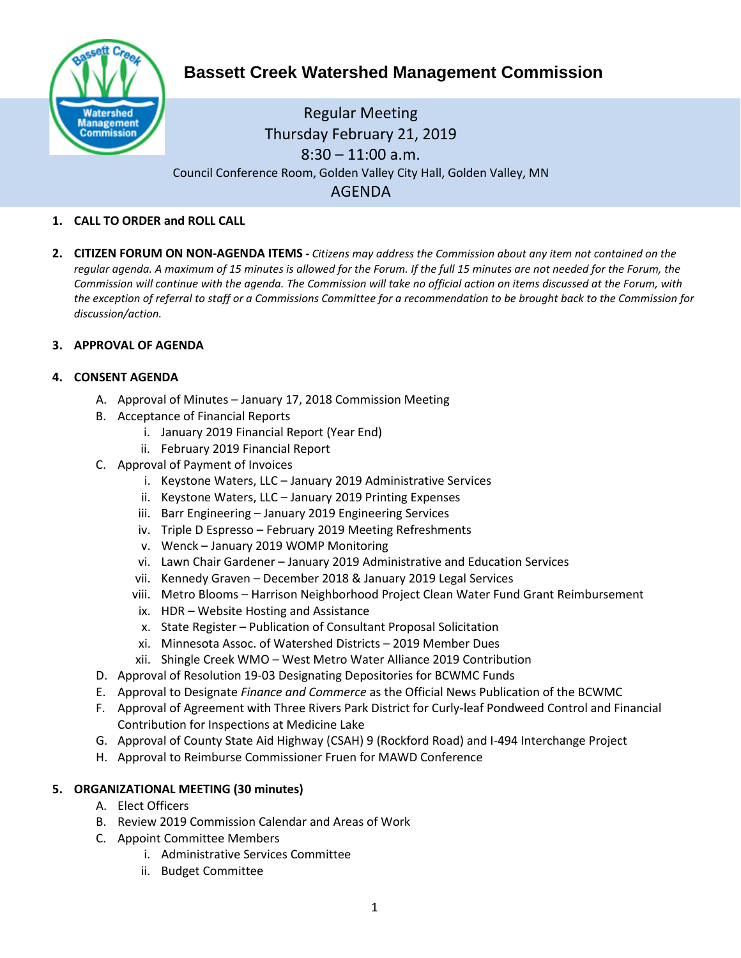

# **Bassett Creek Watershed Management Commission**

# Regular Meeting Thursday February 21, 2019  $8:30 - 11:00$  a.m. Council Conference Room, Golden Valley City Hall, Golden Valley, MN AGENDA

#### **1. CALL TO ORDER and ROLL CALL**

**2. CITIZEN FORUM ON NON-AGENDA ITEMS -** *Citizens may address the Commission about any item not contained on the regular agenda. A maximum of 15 minutes is allowed for the Forum. If the full 15 minutes are not needed for the Forum, the Commission will continue with the agenda. The Commission will take no official action on items discussed at the Forum, with the exception of referral to staff or a Commissions Committee for a recommendation to be brought back to the Commission for discussion/action.*

#### **3. APPROVAL OF AGENDA**

#### **4. CONSENT AGENDA**

- A. Approval of Minutes January 17, 2018 Commission Meeting
- B. Acceptance of Financial Reports
	- i. January 2019 Financial Report (Year End)
	- ii. February 2019 Financial Report
- C. Approval of Payment of Invoices
	- i. Keystone Waters, LLC January 2019 Administrative Services
	- ii. Keystone Waters, LLC January 2019 Printing Expenses
	- iii. Barr Engineering January 2019 Engineering Services
	- iv. Triple D Espresso February 2019 Meeting Refreshments
	- v. Wenck January 2019 WOMP Monitoring
	- vi. Lawn Chair Gardener January 2019 Administrative and Education Services
	- vii. Kennedy Graven December 2018 & January 2019 Legal Services
	- viii. Metro Blooms Harrison Neighborhood Project Clean Water Fund Grant Reimbursement
	- ix. HDR Website Hosting and Assistance
	- x. State Register Publication of Consultant Proposal Solicitation
	- xi. Minnesota Assoc. of Watershed Districts 2019 Member Dues
	- xii. Shingle Creek WMO West Metro Water Alliance 2019 Contribution
- D. Approval of Resolution 19-03 Designating Depositories for BCWMC Funds
- E. Approval to Designate *Finance and Commerce* as the Official News Publication of the BCWMC
- F. Approval of Agreement with Three Rivers Park District for Curly-leaf Pondweed Control and Financial Contribution for Inspections at Medicine Lake
- G. Approval of County State Aid Highway (CSAH) 9 (Rockford Road) and I-494 Interchange Project
- H. Approval to Reimburse Commissioner Fruen for MAWD Conference

#### **5. ORGANIZATIONAL MEETING (30 minutes)**

- A. Elect Officers
- B. Review 2019 Commission Calendar and Areas of Work
- C. Appoint Committee Members
	- i. Administrative Services Committee
	- ii. Budget Committee